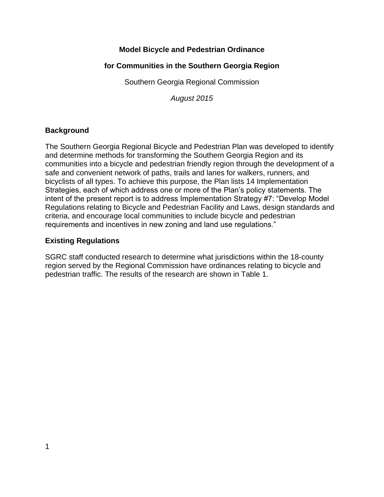## **Model Bicycle and Pedestrian Ordinance**

## **for Communities in the Southern Georgia Region**

Southern Georgia Regional Commission

*August 2015*

## **Background**

The Southern Georgia Regional Bicycle and Pedestrian Plan was developed to identify and determine methods for transforming the Southern Georgia Region and its communities into a bicycle and pedestrian friendly region through the development of a safe and convenient network of paths, trails and lanes for walkers, runners, and bicyclists of all types. To achieve this purpose, the Plan lists 14 Implementation Strategies, each of which address one or more of the Plan's policy statements. The intent of the present report is to address Implementation Strategy #7: "Develop Model Regulations relating to Bicycle and Pedestrian Facility and Laws, design standards and criteria, and encourage local communities to include bicycle and pedestrian requirements and incentives in new zoning and land use regulations."

### **Existing Regulations**

SGRC staff conducted research to determine what jurisdictions within the 18-county region served by the Regional Commission have ordinances relating to bicycle and pedestrian traffic. The results of the research are shown in Table 1.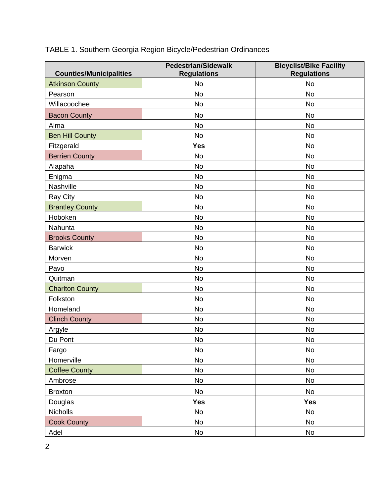|  |  |  | TABLE 1. Southern Georgia Region Bicycle/Pedestrian Ordinances |  |
|--|--|--|----------------------------------------------------------------|--|
|--|--|--|----------------------------------------------------------------|--|

| <b>Counties/Municipalities</b> | <b>Pedestrian/Sidewalk</b><br><b>Regulations</b> | <b>Bicyclist/Bike Facility</b><br><b>Regulations</b> |
|--------------------------------|--------------------------------------------------|------------------------------------------------------|
| <b>Atkinson County</b>         | <b>No</b>                                        | <b>No</b>                                            |
| Pearson                        | <b>No</b>                                        | <b>No</b>                                            |
| Willacoochee                   | <b>No</b>                                        | <b>No</b>                                            |
| <b>Bacon County</b>            | <b>No</b>                                        | <b>No</b>                                            |
| Alma                           | <b>No</b>                                        | <b>No</b>                                            |
| <b>Ben Hill County</b>         | <b>No</b>                                        | <b>No</b>                                            |
| Fitzgerald                     | <b>Yes</b>                                       | <b>No</b>                                            |
| <b>Berrien County</b>          | <b>No</b>                                        | <b>No</b>                                            |
| Alapaha                        | No                                               | <b>No</b>                                            |
| Enigma                         | <b>No</b>                                        | <b>No</b>                                            |
| Nashville                      | <b>No</b>                                        | <b>No</b>                                            |
| Ray City                       | <b>No</b>                                        | <b>No</b>                                            |
| <b>Brantley County</b>         | <b>No</b>                                        | <b>No</b>                                            |
| Hoboken                        | <b>No</b>                                        | <b>No</b>                                            |
| Nahunta                        | <b>No</b>                                        | <b>No</b>                                            |
| <b>Brooks County</b>           | <b>No</b>                                        | <b>No</b>                                            |
| <b>Barwick</b>                 | <b>No</b>                                        | <b>No</b>                                            |
| Morven                         | <b>No</b>                                        | <b>No</b>                                            |
| Pavo                           | <b>No</b>                                        | <b>No</b>                                            |
| Quitman                        | <b>No</b>                                        | <b>No</b>                                            |
| <b>Charlton County</b>         | No                                               | No                                                   |
| Folkston                       | <b>No</b>                                        | <b>No</b>                                            |
| Homeland                       | <b>No</b>                                        | <b>No</b>                                            |
| <b>Clinch County</b>           | No                                               | No                                                   |
| Argyle                         | <b>No</b>                                        | <b>No</b>                                            |
| Du Pont                        | No                                               | No                                                   |
| Fargo                          | No                                               | No                                                   |
| Homerville                     | No                                               | <b>No</b>                                            |
| <b>Coffee County</b>           | No                                               | No                                                   |
| Ambrose                        | No                                               | No                                                   |
| <b>Broxton</b>                 | No                                               | No                                                   |
| Douglas                        | <b>Yes</b>                                       | <b>Yes</b>                                           |
| Nicholls                       | No                                               | <b>No</b>                                            |
| <b>Cook County</b>             | No                                               | No                                                   |
| Adel                           | No                                               | No                                                   |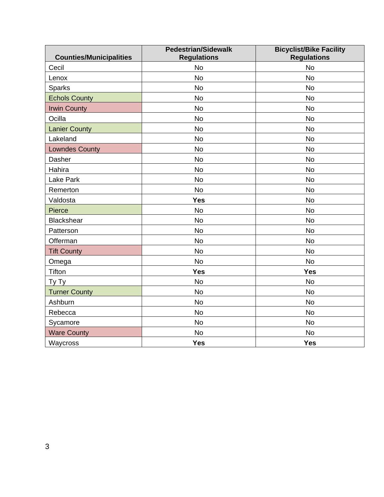| <b>Counties/Municipalities</b> | <b>Pedestrian/Sidewalk</b><br><b>Regulations</b> | <b>Bicyclist/Bike Facility</b><br><b>Regulations</b> |
|--------------------------------|--------------------------------------------------|------------------------------------------------------|
| Cecil                          | <b>No</b>                                        | <b>No</b>                                            |
| Lenox                          | <b>No</b>                                        | <b>No</b>                                            |
| Sparks                         | <b>No</b>                                        | <b>No</b>                                            |
| <b>Echols County</b>           | <b>No</b>                                        | <b>No</b>                                            |
| <b>Irwin County</b>            | <b>No</b>                                        | <b>No</b>                                            |
| Ocilla                         | <b>No</b>                                        | <b>No</b>                                            |
| <b>Lanier County</b>           | <b>No</b>                                        | <b>No</b>                                            |
| Lakeland                       | <b>No</b>                                        | <b>No</b>                                            |
| <b>Lowndes County</b>          | <b>No</b>                                        | <b>No</b>                                            |
| Dasher                         | <b>No</b>                                        | <b>No</b>                                            |
| Hahira                         | <b>No</b>                                        | <b>No</b>                                            |
| Lake Park                      | <b>No</b>                                        | <b>No</b>                                            |
| Remerton                       | <b>No</b>                                        | <b>No</b>                                            |
| Valdosta                       | <b>Yes</b>                                       | <b>No</b>                                            |
| <b>Pierce</b>                  | <b>No</b>                                        | <b>No</b>                                            |
| <b>Blackshear</b>              | <b>No</b>                                        | No                                                   |
| Patterson                      | <b>No</b>                                        | <b>No</b>                                            |
| Offerman                       | <b>No</b>                                        | <b>No</b>                                            |
| <b>Tift County</b>             | <b>No</b>                                        | <b>No</b>                                            |
| Omega                          | <b>No</b>                                        | <b>No</b>                                            |
| Tifton                         | <b>Yes</b>                                       | <b>Yes</b>                                           |
| Ty Ty                          | <b>No</b>                                        | <b>No</b>                                            |
| <b>Turner County</b>           | <b>No</b>                                        | <b>No</b>                                            |
| Ashburn                        | <b>No</b>                                        | <b>No</b>                                            |
| Rebecca                        | No                                               | <b>No</b>                                            |
| Sycamore                       | <b>No</b>                                        | <b>No</b>                                            |
| <b>Ware County</b>             | <b>No</b>                                        | <b>No</b>                                            |
| Waycross                       | <b>Yes</b>                                       | <b>Yes</b>                                           |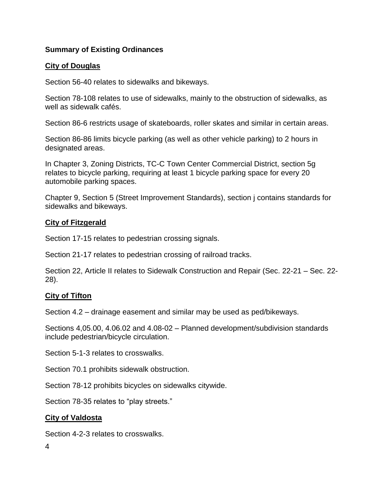## **Summary of Existing Ordinances**

## **City of Douglas**

Section 56-40 relates to sidewalks and bikeways.

Section 78-108 relates to use of sidewalks, mainly to the obstruction of sidewalks, as well as sidewalk cafés.

Section 86-6 restricts usage of skateboards, roller skates and similar in certain areas.

Section 86-86 limits bicycle parking (as well as other vehicle parking) to 2 hours in designated areas.

In Chapter 3, Zoning Districts, TC-C Town Center Commercial District, section 5g relates to bicycle parking, requiring at least 1 bicycle parking space for every 20 automobile parking spaces.

Chapter 9, Section 5 (Street Improvement Standards), section j contains standards for sidewalks and bikeways.

### **City of Fitzgerald**

Section 17-15 relates to pedestrian crossing signals.

Section 21-17 relates to pedestrian crossing of railroad tracks.

Section 22, Article II relates to Sidewalk Construction and Repair (Sec. 22-21 – Sec. 22- 28).

#### **City of Tifton**

Section 4.2 – drainage easement and similar may be used as ped/bikeways.

Sections 4,05.00, 4.06.02 and 4.08-02 – Planned development/subdivision standards include pedestrian/bicycle circulation.

Section 5-1-3 relates to crosswalks.

Section 70.1 prohibits sidewalk obstruction.

Section 78-12 prohibits bicycles on sidewalks citywide.

Section 78-35 relates to "play streets."

#### **City of Valdosta**

Section 4-2-3 relates to crosswalks.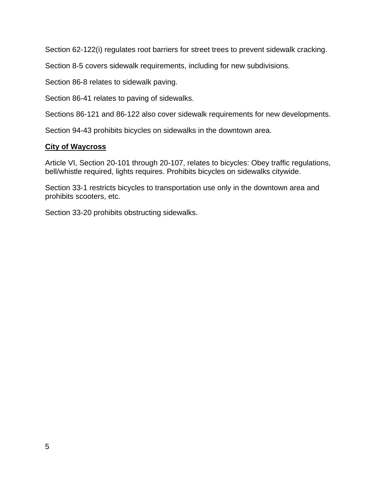Section 62-122(i) regulates root barriers for street trees to prevent sidewalk cracking.

Section 8-5 covers sidewalk requirements, including for new subdivisions.

Section 86-8 relates to sidewalk paving.

Section 86-41 relates to paving of sidewalks.

Sections 86-121 and 86-122 also cover sidewalk requirements for new developments.

Section 94-43 prohibits bicycles on sidewalks in the downtown area.

### **City of Waycross**

Article VI, Section 20-101 through 20-107, relates to bicycles: Obey traffic regulations, bell/whistle required, lights requires. Prohibits bicycles on sidewalks citywide.

Section 33-1 restricts bicycles to transportation use only in the downtown area and prohibits scooters, etc.

Section 33-20 prohibits obstructing sidewalks.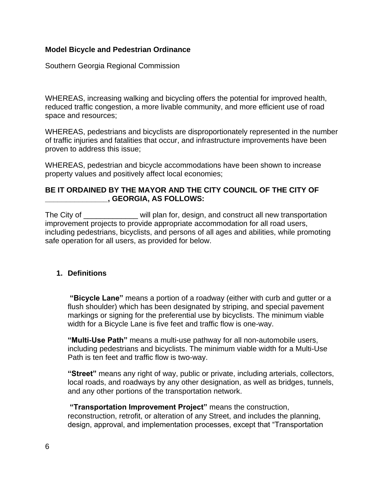#### **Model Bicycle and Pedestrian Ordinance**

Southern Georgia Regional Commission

WHEREAS, increasing walking and bicycling offers the potential for improved health, reduced traffic congestion, a more livable community, and more efficient use of road space and resources;

WHEREAS, pedestrians and bicyclists are disproportionately represented in the number of traffic injuries and fatalities that occur, and infrastructure improvements have been proven to address this issue;

WHEREAS, pedestrian and bicycle accommodations have been shown to increase property values and positively affect local economies;

## **BE IT ORDAINED BY THE MAYOR AND THE CITY COUNCIL OF THE CITY OF \_\_\_\_\_\_\_\_\_\_\_\_\_\_\_, GEORGIA, AS FOLLOWS:**

The City of \_\_\_\_\_\_\_\_\_\_\_\_\_ will plan for, design, and construct all new transportation improvement projects to provide appropriate accommodation for all road users, including pedestrians, bicyclists, and persons of all ages and abilities, while promoting safe operation for all users, as provided for below.

#### **1. Definitions**

**"Bicycle Lane"** means a portion of a roadway (either with curb and gutter or a flush shoulder) which has been designated by striping, and special pavement markings or signing for the preferential use by bicyclists. The minimum viable width for a Bicycle Lane is five feet and traffic flow is one-way.

**"Multi-Use Path"** means a multi-use pathway for all non-automobile users, including pedestrians and bicyclists. The minimum viable width for a Multi-Use Path is ten feet and traffic flow is two-way.

**"Street"** means any right of way, public or private, including arterials, collectors, local roads, and roadways by any other designation, as well as bridges, tunnels, and any other portions of the transportation network.

**"Transportation Improvement Project"** means the construction, reconstruction, retrofit, or alteration of any Street, and includes the planning, design, approval, and implementation processes, except that "Transportation